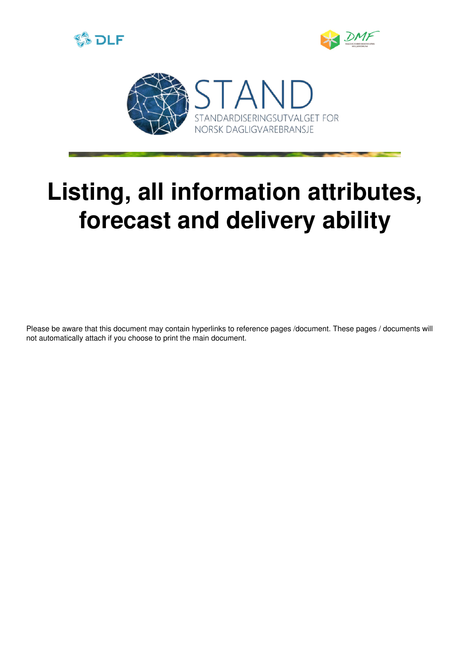





# **Listing, all information attributes, forecast and delivery ability**

Please be aware that this document may contain hyperlinks to reference pages /document. These pages / documents will not automatically attach if you choose to print the main document.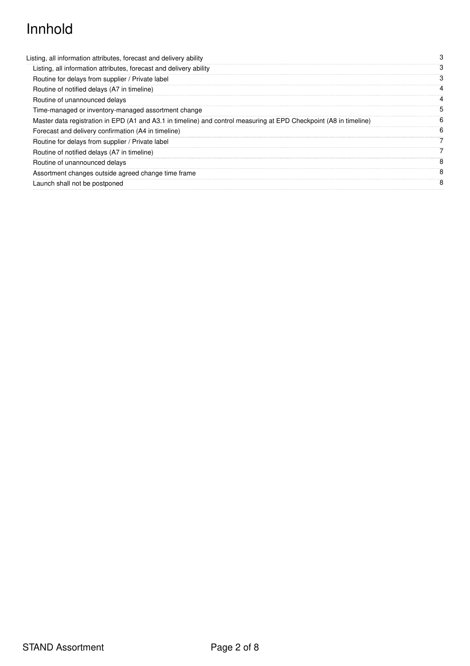## Innhold

| Listing, all information attributes, forecast and delivery ability                                                 | 3 |
|--------------------------------------------------------------------------------------------------------------------|---|
| Listing, all information attributes, forecast and delivery ability                                                 | з |
| Routine for delays from supplier / Private label                                                                   | З |
| Routine of notified delays (A7 in timeline)                                                                        | 4 |
| Routine of unannounced delays                                                                                      |   |
| Time-managed or inventory-managed assortment change                                                                | 5 |
| Master data registration in EPD (A1 and A3.1 in timeline) and control measuring at EPD Checkpoint (A8 in timeline) | 6 |
| Forecast and delivery confirmation (A4 in timeline)                                                                | 6 |
| Routine for delays from supplier / Private label                                                                   | 7 |
| Routine of notified delays (A7 in timeline)                                                                        |   |
| Routine of unannounced delays                                                                                      | 8 |
| Assortment changes outside agreed change time frame                                                                | 8 |
| Launch shall not be postponed                                                                                      | 8 |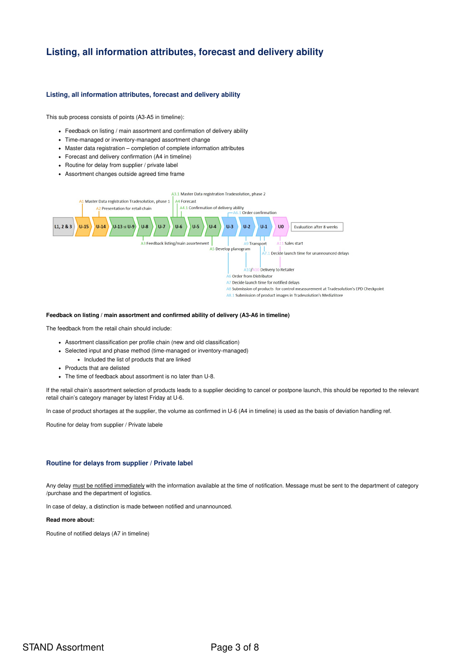### <span id="page-2-1"></span><span id="page-2-0"></span>**Listing, all information attributes, forecast and delivery ability**

#### **Listing, all information attributes, forecast and delivery ability**

This sub process consists of points (A3-A5 in timeline):

- Feedback on listing / main assortment and confirmation of delivery ability
- Time-managed or inventory-managed assortment change
- Master data registration completion of complete information attributes
- Forecast and delivery confirmation (A4 in timeline)
- Routine for delay from supplier / private label
- Assortment changes outside agreed time frame



#### **Feedback on listing / main assortment and confirmed ability of delivery (A3-A6 in timeline)**

The feedback from the retail chain should include:

- Assortment classification per profile chain (new and old classification)
- Selected input and phase method (time-managed or inventory-managed)
	- Included the list of products that are linked
- Products that are delisted
- The time of feedback about assortment is no later than U-8.

If the retail chain's assortment selection of products leads to a supplier deciding to cancel or postpone launch, this should be reported to the relevant retail chain's category manager by latest Friday at U-6.

In case of product shortages at the supplier, the volume as confirmed in U-6 (A4 in timeline) is used as the basis of deviation handling ref.

<span id="page-2-2"></span>Routine for delay from supplier / Private labele

#### **Routine for delays from supplier / Private label**

Any delay must be notified immediately with the information available at the time of notification. Message must be sent to the department of category /purchase and the department of logistics.

In case of delay, a distinction is made between notified and unannounced.

#### **Read more about:**

Routine of notified delays (A7 in timeline)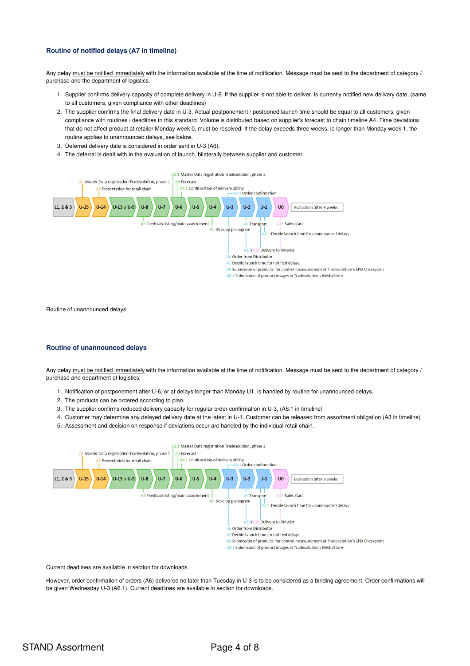#### <span id="page-3-0"></span>**Routine of notified delays (A7 in timeline)**

Any delay must be notified immediately with the information available at the time of notification. Message must be sent to the department of category / purchase and the department of logistics.

- 1. Supplier confirms delivery capacity of complete delivery in U-6. If the supplier is not able to deliver, is currently notified new delivery date, (same to all customers, given compliance with other deadlines)
- 2. The supplier confirms the final delivery date in U-3. Actual postponement / postponed launch time should be equal to all customers, given compliance with routines / deadlines in this standard. Volume is distributed based on supplier's forecast to chain timeline A4. Time deviations that do not affect product at retailer Monday week 0, must be resolved. If the delay exceeds three weeks, ie longer than Monday week 1, the routine applies to unannounced delays, see below.
- 3. Deferred delivery date is considered in order sent in U-3 (A6).
- 4. The deferral is dealt with in the evaluation of launch, bilaterally between supplier and customer.



<span id="page-3-1"></span>Routine of unannounced delays

#### **Routine of unannounced delays**

Any delay must be notified immediately with the information available at the time of notification. Message must be sent to the department of category / purchase and department of logistics.

- 1. Notification of postponement after U-6, or at delays longer than Monday U1, is handled by routine for unannounced delays.
- 2. The products can be ordered according to plan.
- 3. The supplier confirms reduced delivery capacity for regular order confirmation in U-3, (A6.1 in timeline)
- 4. Customer may determine any delayed delivery date at the latest in U-1. Customer can be released from assortment obligation (A3 in timeline)
- 5. Assessment and decision on response if deviations occur are handled by the individual retail chain.



Current deadlines are available in section for downloads.

However, order confirmation of orders (A6) delivered no later than Tuesday in U-3 is to be considered as a binding agreement. Order confirmations will be given Wednesday U-3 (A6.1). Current deadlines are available in section for downloads.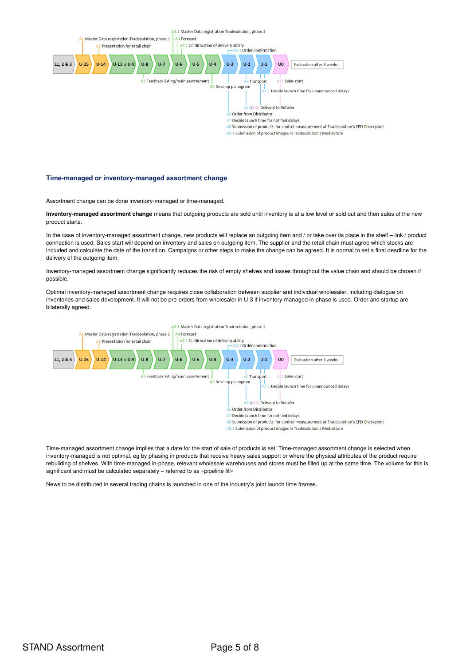

#### <span id="page-4-0"></span>**Time-managed or inventory-managed assortment change**

Assortment change can be done inventory-managed or time-managed.

**Inventory-managed assortment change** means that outgoing products are sold until inventory is at a low level or sold out and then sales of the new product starts.

In the case of inventory-managed assortment change, new products will replace an outgoing item and / or take over its place in the shelf - link / product connection is used. Sales start will depend on inventory and sales on outgoing item. The supplier and the retail chain must agree which stocks are included and calculate the date of the transition. Campaigns or other steps to make the change can be agreed. It is normal to set a final deadline for the delivery of the outgoing item.

Inventory-managed assortment change significantly reduces the risk of empty shelves and losses throughout the value chain and should be chosen if possible.

Optimal inventory-managed assortment change requires close collaboration between supplier and individual wholesaler, including dialogue on inventories and sales development. It will not be pre-orders from wholesaler in U-3 if inventory-managed in-phase is used. Order and startup are bilaterally agreed.



Time-managed assortment change implies that a date for the start of sale of products is set. Time-managed assortment change is selected when inventory-managed is not optimal, eg by phasing in products that receive heavy sales support or where the physical attributes of the product require rebuilding of shelves. With time-managed in-phase, relevant wholesale warehouses and stores must be filled up at the same time. The volume for this is significant and must be calculated separately – referred to as «pipeline fill»

News to be distributed in several trading chains is launched in one of the industry's joint launch time frames.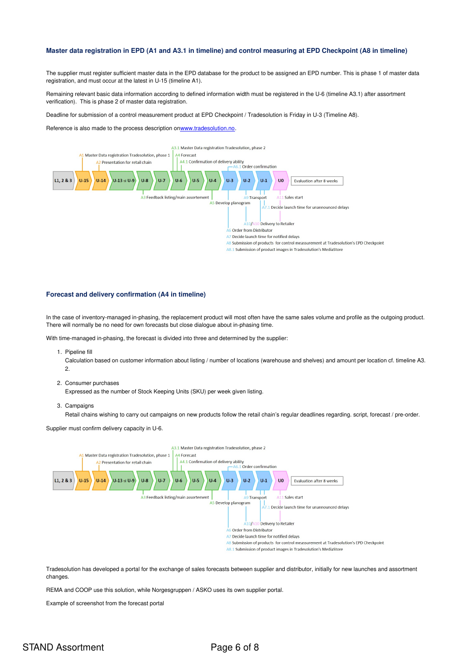#### <span id="page-5-0"></span>Master data registration in EPD (A1 and A3.1 in timeline) and control measuring at EPD Checkpoint (A8 in timeline)

The supplier must register sufficient master data in the EPD database for the product to be assigned an EPD number. This is phase 1 of master data registration, and must occur at the latest in U-15 (timeline A1).

Remaining relevant basic data information according to defined information width must be registered in the U-6 (timeline A3.1) after assortment verification). This is phase 2 of master data registration.

Deadline for submission of a control measurement product at EPD Checkpoint / Tradesolution is Friday in U-3 (Timeline A8).

Reference is also made to the process description o[nwww.tradesolution.no](http://www.tradesolution.no/).



#### <span id="page-5-1"></span>**Forecast and delivery confirmation (A4 in timeline)**

In the case of inventory-managed in-phasing, the replacement product will most often have the same sales volume and profile as the outgoing product. There will normally be no need for own forecasts but close dialogue about in-phasing time.

With time-managed in-phasing, the forecast is divided into three and determined by the supplier:

1. Pipeline fill

Calculation based on customer information about listing / number of locations (warehouse and shelves) and amount per location cf. timeline A3. 2.

2. Consumer purchases

Expressed as the number of Stock Keeping Units (SKU) per week given listing.

3. Campaigns

Retail chains wishing to carry out campaigns on new products follow the retail chain's regular deadlines regarding. script, forecast / pre-order.

Supplier must confirm delivery capacity in U-6.



Tradesolution has developed a portal for the exchange of sales forecasts between supplier and distributor, initially for new launches and assortment changes.

REMA and COOP use this solution, while Norgesgruppen / ASKO uses its own supplier portal.

Example of screenshot from the forecast portal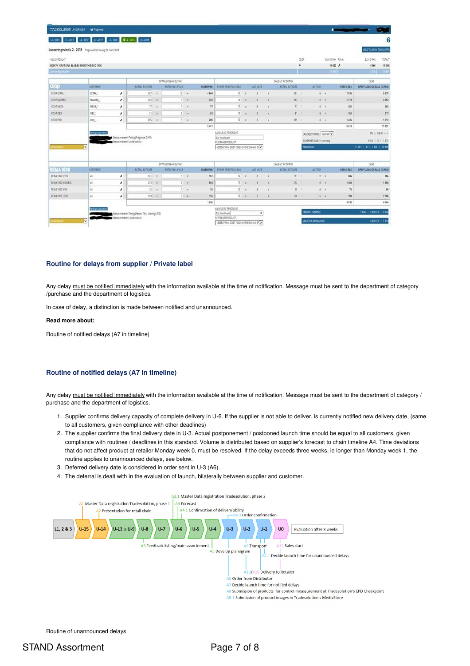| <b>TRADESOLUTION LANSERINGER</b>                             | <b>M</b> Programer                               |                                                       |                                         |              |                   |          |                  |                         |                                         |                                                              |              |                   |      |                                              |                      |                                           |                           |              |  |  |
|--------------------------------------------------------------|--------------------------------------------------|-------------------------------------------------------|-----------------------------------------|--------------|-------------------|----------|------------------|-------------------------|-----------------------------------------|--------------------------------------------------------------|--------------|-------------------|------|----------------------------------------------|----------------------|-------------------------------------------|---------------------------|--------------|--|--|
| 13-2016                                                      | 11-2017 12-2017 13-2017 11-2018 012-2018 13-2018 |                                                       |                                         |              |                   |          |                  |                         |                                         |                                                              |              |                   |      |                                              |                      |                                           |                           |              |  |  |
| Lanseringsvindu 2 - 2018 Prognosefrist, fredag 23. mars 2018 |                                                  |                                                       |                                         |              |                   |          |                  |                         |                                         |                                                              |              |                   |      |                                              |                      |                                           | LEGG TIL/FIERN PRODUKTS   |              |  |  |
| <b>YVELG PRODUCT</b>                                         |                                                  |                                                       |                                         |              |                   |          |                  |                         |                                         |                                                              |              |                   | coor |                                              |                      | SUM DIRK REMA                             | SUM D-PAK<br>TOTAL        |              |  |  |
| 5020870 GROT EPLE BLÅBÆR SMOOTHIE ØKO 110G                   |                                                  |                                                       |                                         |              |                   |          |                  |                         |                                         |                                                              |              |                   | r    |                                              |                      | $11022$ $\neq$                            | 15 08<br>4 066            |              |  |  |
| Sum for 4 production                                         |                                                  |                                                       |                                         |              |                   |          |                  |                         |                                         |                                                              |              |                   |      |                                              | 1145                 |                                           | 3.06                      | $\mathbf{u}$ |  |  |
|                                                              |                                                  |                                                       | OPPFYLLING AV BUTICK                    |              |                   |          |                  |                         | SALG UT AV BUTIKK                       |                                                              |              |                   |      |                                              |                      |                                           | SUM                       |              |  |  |
| coop                                                         | SORTIMENT                                        |                                                       | ANTALL BUTIOUSR                         |              | ANTO-PAKI HYLLE   |          | <b>SUM D-PAK</b> | PR UKE PR BUTICK F-PAK  |                                         | <b>ANTUKER</b>                                               |              | ANTALL BUTIKKER   |      | <b>ANTED</b>                                 |                      | <b>SUM D-PAK</b>                          | OPPFYLLING OG SALG (D-PAK |              |  |  |
| COOP EXTRA                                                   | EXTRA 1                                          | $\!\prime$                                            | 387                                     | ×            |                   | $12 - 6$ | 4 644            | 10                      |                                         |                                                              |              | 387/1             |      | $6 - 4$                                      |                      | 1935                                      |                           | 657          |  |  |
| COOP MARKED                                                  | MARKED 1                                         | $\lambda$                                             | 342                                     | $\mathbf{x}$ |                   | $1 - n$  | 342              | 10 <sup>1</sup>         |                                         | ٠                                                            | $\mathbf{x}$ | $342 - 1$         |      | $6 - 4$                                      |                      | 1710                                      |                           | 2.05         |  |  |
| COOP MEGA                                                    | MEGA <sub>1</sub>                                | $\lambda$                                             | 77                                      | $\mathbf x$  |                   | $1 - 4$  |                  | 10                      |                                         |                                                              |              |                   | 77.1 | $6 - 1$                                      |                      | 385                                       |                           | 46           |  |  |
| COOP OBS!                                                    | OBS_1                                            | $\prime$                                              |                                         | $31 - x$     |                   | $2 - 4$  | 62               | 10 <sup>1</sup>         |                                         | 3                                                            |              | 31/1              |      | $6 +$                                        |                      | 155                                       |                           | 21           |  |  |
| COOP PRIX                                                    | PRIX.1                                           | $\lambda$                                             | $285 - x$                               |              |                   | $1 - x$  | 285              |                         | $10 - x$                                | $\overline{3}$                                               | $\mathbf{x}$ | $285 - l$         |      | $6 - 1$                                      |                      | 1425                                      |                           | 171          |  |  |
|                                                              |                                                  | 5411                                                  |                                         |              |                   |          |                  |                         |                                         |                                                              |              |                   |      |                                              |                      | 5610                                      |                           | 11 02        |  |  |
|                                                              | Meldinger og handelser                           | Status endret til Ferdig (Prognose: 2409)             |                                         |              |                   |          |                  |                         |                                         | ANSVARLIG PROGNOSE<br>Ola Nordmann                           |              |                   |      |                                              |                      | LAGERIUSTERING: Sentralt                  |                           |              |  |  |
|                                                              |                                                  | Status endret til Under arbeid                        | REFERANSEPRODUKT:                       |              |                   |          |                  |                         | SKOZRHETSUKE +1 uke salg                | $5610 / 3 = 187$                                             |              |                   |      |                                              |                      |                                           |                           |              |  |  |
| holer arbeid                                                 | $\vert \mathbf{v} \vert$                         | 4828687 MIN GRØT YOGH SVISKE BANAN EP                 |                                         |              |                   |          |                  |                         |                                         |                                                              |              |                   |      | <b>PROGNOSE</b><br>$11021 + 0 + 1570 - 1289$ |                      |                                           |                           |              |  |  |
|                                                              |                                                  |                                                       |                                         |              |                   |          |                  |                         |                                         |                                                              |              |                   |      |                                              |                      |                                           |                           |              |  |  |
| <b>REMA1000</b>                                              | SORTIMENT                                        |                                                       | OPPFYLLING AV BUTIOX<br>ANTALL BUTIODER |              |                   |          |                  |                         |                                         |                                                              |              | SALG UT AV BUTICK |      | ANTED                                        |                      |                                           | SUM                       |              |  |  |
|                                                              |                                                  |                                                       |                                         |              | ANT D-PAK I HYLLE |          | <b>SUM D-PAK</b> | PR LIKE PR BUTIOL F-PAK |                                         | ANT UKER                                                     |              | ANTALL BUTIKKER   |      |                                              |                      | <b>SUM D-PAK</b>                          | OPPFYLLING OG SALG (D-PAK |              |  |  |
| REMA 1000 LITEN                                              | A1                                               | $\prime$                                              | 163                                     | $\mathbf x$  | <b>TIP</b>        |          | 161              | 10                      |                                         |                                                              | $\mathbf{x}$ | $161$ /           |      | $5 -$                                        | $\ddot{\phantom{1}}$ | 805                                       |                           | 99           |  |  |
| REMA 1000 MICOELS                                            | A1                                               | $\lambda$                                             | 272                                     | $\mathbf x$  |                   | $2 - 1$  | 544              | $10 -$                  | $\mathbf{x}$                            |                                                              |              | $272 \t1$         |      | $6 - x$                                      |                      | 1360                                      |                           | 190          |  |  |
| REMA 1000 MINI                                               | A1                                               | $\lambda$                                             | 15                                      |              |                   | $1 - x$  | 15               | 10                      |                                         |                                                              |              | 15/1              |      | 6.                                           | $\epsilon$           | 75                                        |                           | ×            |  |  |
| REMA 1000 STOR                                               | A1                                               | $\prime$                                              | $158 - x$                               |              |                   | $2 - 4$  | 316              |                         | 10 x 101                                | $\frac{1}{2}$                                                | $\chi$       | 155.1             |      | 6.4                                          |                      | 790                                       |                           | 110          |  |  |
|                                                              |                                                  |                                                       |                                         |              |                   |          | 1036             |                         |                                         |                                                              |              |                   |      |                                              |                      | 3 0 3 0                                   |                           | 4 06         |  |  |
|                                                              | Mettripe's phototics                             | Status endret til Perdig (Parste: 764, Ukentlig: 202) |                                         |              |                   |          |                  |                         |                                         | ANSVARLIG PROGNOSE<br>Ola Nordmann<br>x<br>REFERANSEPRODUKT: |              |                   |      |                                              |                      | $1036 + 3030/3 + 204$<br>FØRSTE LEVERING: |                           |              |  |  |
| Service tool                                                 | $\vert \mathbf{v} \vert$                         | Status endret til Under arbeid                        |                                         |              |                   |          |                  |                         | 4528687 M/N GRØT YOGH SVISKE BANAN EP V |                                                              |              |                   |      | UKENTLIG PROGNOSE<br>3030/3 = 1010           |                      |                                           |                           |              |  |  |

#### <span id="page-6-0"></span>**Routine for delays from supplier / Private label**

Any delay must be notified immediately with the information available at the time of notification. Message must be sent to the department of category /purchase and the department of logistics.

In case of delay, a distinction is made between notified and unannounced.

#### **Read more about:**

<span id="page-6-1"></span>Routine of notified delays (A7 in timeline)

#### **Routine of notified delays (A7 in timeline)**

Any delay must be notified immediately with the information available at the time of notification. Message must be sent to the department of category / purchase and the department of logistics.

- 1. Supplier confirms delivery capacity of complete delivery in U-6. If the supplier is not able to deliver, is currently notified new delivery date, (same to all customers, given compliance with other deadlines)
- 2. The supplier confirms the final delivery date in U-3. Actual postponement / postponed launch time should be equal to all customers, given compliance with routines / deadlines in this standard. Volume is distributed based on supplier's forecast to chain timeline A4. Time deviations that do not affect product at retailer Monday week 0, must be resolved. If the delay exceeds three weeks, ie longer than Monday week 1, the routine applies to unannounced delays, see below.
- 3. Deferred delivery date is considered in order sent in U-3 (A6).
- 4. The deferral is dealt with in the evaluation of launch, bilaterally between supplier and customer.